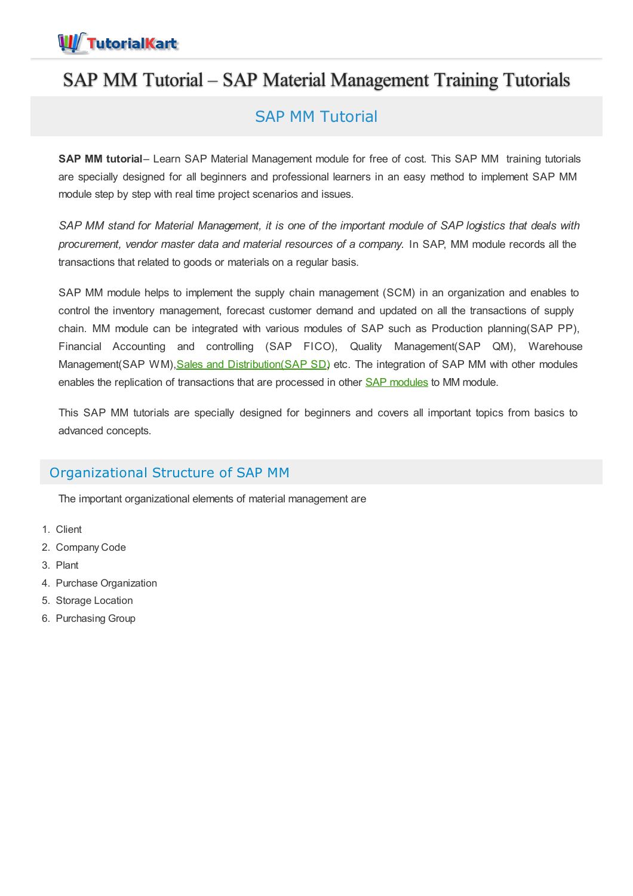

# SAP MM Tutorial – SAP Material Management Training Tutorials

## SAP MM Tutorial

**SAP MM tutorial**– Learn SAP Material Management module for free of cost. This SAP MM training tutorials are specially designed for all beginners and professional learners in an easy method to implement SAP MM module step by step with real time project scenarios and issues.

SAP MM stand for Material Management, it is one of the important module of SAP logistics that deals with *procurement, vendor master data and material resources of a company.* In SAP, MM module records all the transactions that related to goods or materials on a regular basis.

SAP MM module helps to implement the supply chain management (SCM) in an organization and enables to control the inventory management, forecast customer demand and updated on all the transactions of supply chain. MM module can be integrated with various modules of SAP such as Production planning(SAP PP), Financial Accounting and controlling (SAP FICO), Quality Management(SAP QM), Warehouse Management(SAP WM), Sales and [Distribution\(SAP](https://www.tutorialkart.com/sap-sd/sap-sd-training-tutorial/) SD) etc. The integration of SAP MM with other modules enables the replication of transactions that are processed in other SAP [modules](https://www.tutorialkart.com/sap/sap-modules-list/) to MM module.

This SAP MM tutorials are specially designed for beginners and covers all important topics from basics to advanced concepts.

## Organizational Structure of SAP MM

The important organizational elements of material management are

- 1. Client
- 2. Company Code
- 3. Plant
- 4. Purchase Organization
- 5. Storage Location
- 6. Purchasing Group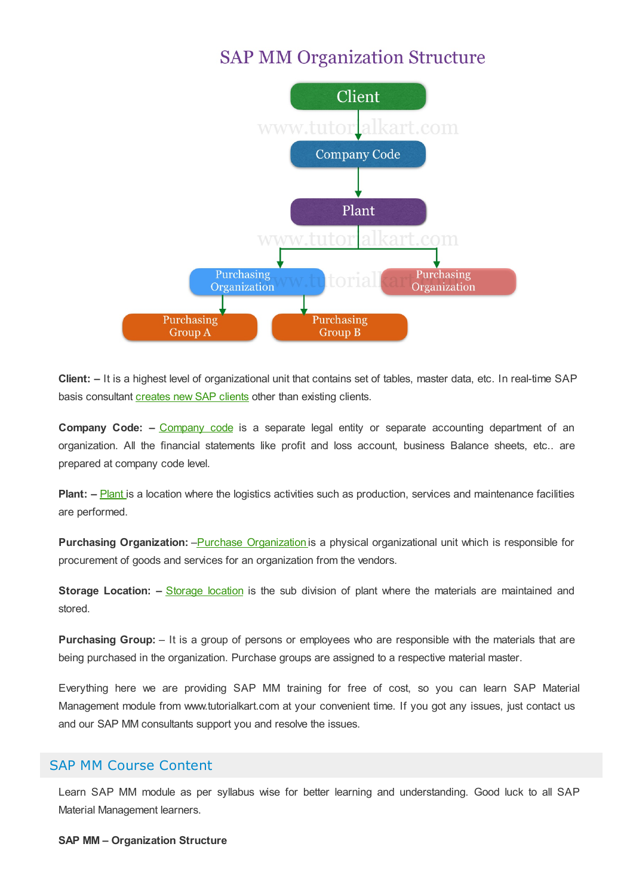# **SAP MM Organization Structure**



**Client: –** It is a highest level of organizational unit that contains set of tables, master data, etc. In real-time SAP basis consultant [creates](https://www.tutorialkart.com/sap-basis/what-is-client-in-sap-create-new-sap-client/) new SAP clients other than existing clients.

**Company Code: –** [Company](https://www.tutorialkart.com/sap-fico/define-company-code-in-sap/) code is a separate legal entity or separate accounting department of an organization. All the financial statements like profit and loss account, business Balance sheets, etc.. are prepared at company code level.

**[Plant](https://www.tutorialkart.com/sap-mm/how-to-define-plant-in-sap/):** – **Plant** is a location where the logistics activities such as production, services and maintenance facilities are performed.

**Purchasing [Organization](https://www.tutorialkart.com/sap-mm/define-purchase-organization-in-sap/):** –Purchase Organization is a physical organizational unit which is responsible for procurement of goods and services for an organization from the vendors.

**[Storage](https://www.tutorialkart.com/sap-mm/how-to-maintain-storage-location-in-sap/) Location:** – Storage location is the sub division of plant where the materials are maintained and stored.

**Purchasing Group:** – It is a group of persons or employees who are responsible with the materials that are being purchased in the organization. Purchase groups are assigned to a respective material master.

Everything here we are providing SAP MM training for free of cost, so you can learn SAP Material Management module from www.tutorialkart.com at your convenient time. If you got any issues, just contact us and our SAP MM consultants support you and resolve the issues.

## SAP MM Course Content

Learn SAP MM module as per syllabus wise for better learning and understanding. Good luck to all SAP Material Management learners.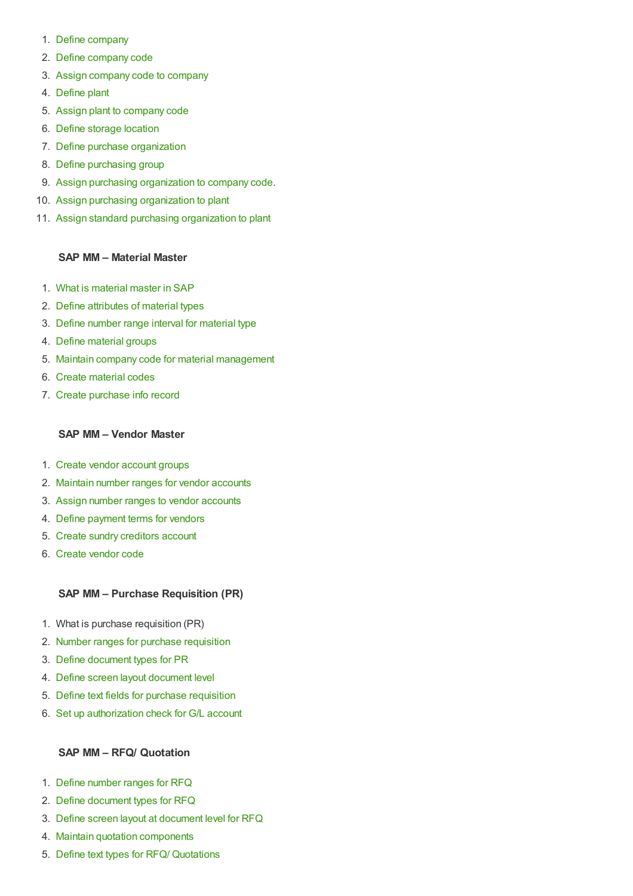- 1. Define [company](https://www.tutorialkart.com/sap-fico/define-company-in-sap-group-company/)
- 2. Define [company](https://www.tutorialkart.com/sap-fico/define-company-code-in-sap/) code
- 3. Assign [company](https://www.tutorialkart.com/sap-fico/how-to-assign-company-code-to-company-in-sap/) code to company
- 4. [Define](https://www.tutorialkart.com/sap-mm/how-to-define-plant-in-sap/) plant
- 5. Assign plant to [company](https://www.tutorialkart.com/sap-mm/assign-plant-to-company-code/) code
- 6. Define [storage](https://www.tutorialkart.com/sap-mm/how-to-maintain-storage-location-in-sap/) location
- 7. Define purchase [organization](https://www.tutorialkart.com/sap-mm/define-purchase-organization-in-sap/)
- 8. Define [purchasing](https://www.tutorialkart.com/sap-mm/define-purchase-group-in-sap/) group
- 9. Assign purchasing [organization](https://www.tutorialkart.com/sap-mm/assign-purchase-organization-to-company-code/) to company code.
- 10. Assign purchasing [organization](https://www.tutorialkart.com/sap-mm/ssign-purchasing-organization-to-plant/) to plant
- 11. Assign standard purchasing [organization](https://www.tutorialkart.com/sap-mm/assign-standard-purchasing-organization-to-plant/) to plant

### **SAP MM – Material Master**

- 1. What is [material](https://www.tutorialkart.com/sap-mm/sap-mm-material-master-data/) master in SAP
- 2. Define [attributes](https://www.tutorialkart.com/sap-mm/define-attributes-of-material-types/) of material types
- 3. Define number range interval for [material](https://www.tutorialkart.com/sap-mm/define-number-ranges-for-material-type/) type
- 4. Define [material](https://www.tutorialkart.com/sap-mm/define-material-groups/) groups
- 5. Maintain company code for material [management](https://www.tutorialkart.com/sap-mm/maintain-company-code-for-material-management/)
- 6. Create [material](https://www.tutorialkart.com/sap-mm/material-master-record-material-codes/) codes
- 7. Create [purchase](https://www.tutorialkart.com/sap-mm/create-purchase-info-record/) info record

### **SAP MM – Vendor Master**

- 1. Create vendor [account](https://www.tutorialkart.com/sap-fico/vendor-account-groups-with-screen-layout-in-sap/) groups
- 2. Maintain number ranges for vendor [accounts](https://www.tutorialkart.com/sap-fico/create-number-ranges-for-vendor-accounts-in-sap/)
- 3. Assign number ranges to vendor [accounts](https://www.tutorialkart.com/sap-fico/assign-number-ranges-to-vendor-account-groups/)
- 4. Define [payment](https://www.tutorialkart.com/sap-fico/maintain-terms-of-payment-in-sap-payment-terms/) terms for vendors
- 5. Create sundry [creditors](https://www.tutorialkart.com/sap-fico/create-sundry-creditor-account-in-sap/) account
- 6. [Create](https://www.tutorialkart.com/sap-fico/create-vendor-master-record-in-sap/) vendor code

## **SAP MM – Purchase Requisition (PR)**

- 1. What is purchase requisition (PR)
- 2. Number ranges for purchase [requisition](https://www.tutorialkart.com/sap-mm/number-ranges-for-purchase-requisition/)
- 3. Define [document](https://www.tutorialkart.com/sap-mm/define-document-types-for-purchase-requisition/) types for PR
- 4. Define screen layout [document](https://www.tutorialkart.com/sap-mm/define-screen-layout-at-document-level/) level
- 5. Define text fields for purchase [requisition](https://www.tutorialkart.com/sap-mm/define-text-fields-for-purchase-requisition/)
- 6. Set up [authorization](https://www.tutorialkart.com/sap-mm/set-up-authorization-check-for-gl-account/) check for G/L account

## **SAP MM – RFQ/ Quotation**

- 1. Define [number](https://www.tutorialkart.com/sap-mm/define-number-ranges-for-rfq/) ranges for RFQ
- 2. Define [document](https://www.tutorialkart.com/sap-mm/define-document-types-for-rfq/) types for RFQ
- 3. Define screen layout at [document](https://www.tutorialkart.com/sap-mm/screen-layout-at-document-level-for-rfq/) level for RFQ
- 4. Maintain quotation [components](https://www.tutorialkart.com/sap-mm/maintain-quotation-comments/)
- 5. Define text types for RFQ/ [Quotations](https://www.tutorialkart.com/sap-mm/define-texts-for-rfq-quotations-in-sap/)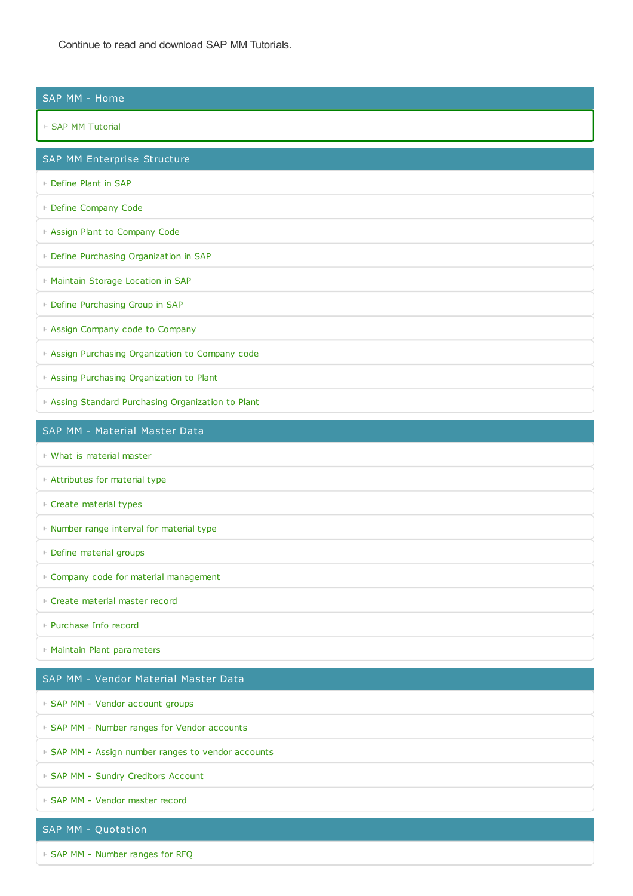Continue to read and download SAP MM Tutorials.

#### SAP MM - Home

#### ⊩ SAP MM [Tutorial](https://www.tutorialkart.com/sap-mm/sap-mm-material-management-training-tutorial/)

SAP MM Enterprise Structure

- ⊩ [Define](https://www.tutorialkart.com/sap-mm/how-to-define-plant-in-sap/) Plant in SAP
- ⊩ Define [Company](https://www.tutorialkart.com/sap-fico/define-company-code-in-sap/) Code
- ⊩ Assign Plant to [Company](https://www.tutorialkart.com/sap-mm/assign-plant-to-company-code/) Code
- ⊩ Define Purchasing [Organization](https://www.tutorialkart.com/sap-mm/define-purchase-organization-in-sap/) in SAP
- ⊩ Maintain Storage [Location](https://www.tutorialkart.com/sap-mm/how-to-maintain-storage-location-in-sap/) in SAP
- ⊩ Define [Purchasing](https://www.tutorialkart.com/sap-mm/define-purchase-group-in-sap/) Group in SAP
- ⊩ Assign Company code to [Company](https://www.tutorialkart.com/sap-fico/how-to-assign-company-code-to-company-in-sap/)
- ⊩ Assign Purchasing [Organization](https://www.tutorialkart.com/sap-mm/assign-purchase-organization-to-company-code/) to Company code
- ⊩ Assing Purchasing [Organization](https://www.tutorialkart.com/sap-mm/ssign-purchasing-organization-to-plant/) to Plant
- ⊩ Assing Standard Purchasing [Organization](https://www.tutorialkart.com/sap-mm/assign-standard-purchasing-organization-to-plant/) to Plant

#### SAP MM - Material Master Data

- ⊩ What is [material](https://www.tutorialkart.com/sap-mm/sap-mm-material-master-data/) master
- ⊩ [Attributes](https://www.tutorialkart.com/sap-mm/define-attributes-of-material-types/) for material type
- ⊩ Create [material](https://www.tutorialkart.com/sap-mm/how-to-create-material-types-in-sap/) types
- ⊩ Number range interval for [material](https://www.tutorialkart.com/sap-mm/define-number-ranges-for-material-type/) type
- ⊩ Define [material](https://www.tutorialkart.com/sap-mm/define-material-groups/) groups
- ⊩ Company code for material [management](https://www.tutorialkart.com/sap-mm/maintain-company-code-for-material-management/)
- ⊩ Create [material](https://www.tutorialkart.com/sap-mm/material-master-record-material-codes/) master record
- ⊩ [Purchase](https://www.tutorialkart.com/sap-mm/create-purchase-info-record/) Info record
- ⊩ Maintain Plant [parameters](https://www.tutorialkart.com/sap-mm/maintain-plant-parameters-for-mrp/)

#### SAP MM - Vendor Material Master Data

⊩ SAP MM - Vendor [account](https://www.tutorialkart.com/sap-fico/vendor-account-groups-with-screen-layout-in-sap/) groups

- ⊩ SAP MM Number ranges for Vendor [accounts](https://www.tutorialkart.com/sap-fico/create-number-ranges-for-vendor-accounts-in-sap/)
- ⊩ SAP MM Assign number ranges to vendor [accounts](https://www.tutorialkart.com/sap-fico/assign-number-ranges-to-vendor-account-groups/)
- ⊩ SAP MM Sundry [Creditors](https://www.tutorialkart.com/sap-fico/create-sundry-creditor-account-in-sap/) Account
- ⊩ SAP MM [Vendor](https://www.tutorialkart.com/sap-fico/create-vendor-master-record-in-sap/) master record

#### SAP MM - Quotation

⊩ SAP MM - [Number](https://www.tutorialkart.com/sap-mm/number-ranges-for-purchase-requisition/) ranges for RFQ